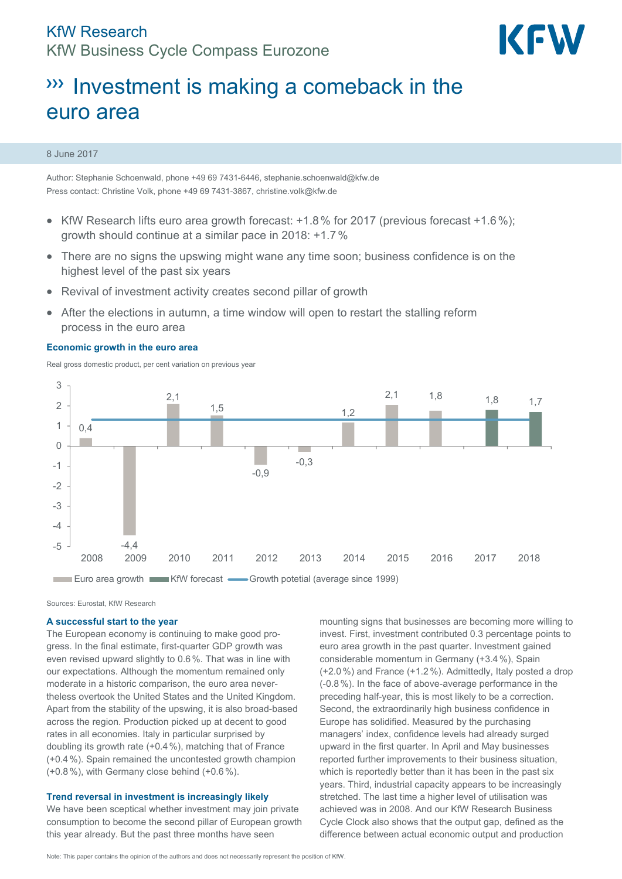

# **Investment is making a comeback in the** euro area

### 8 June 2017

Author: Stephanie Schoenwald, phone +49 69 7431-6446, stephanie.schoenwald@kfw.de Press contact: Christine Volk, phone +49 69 7431-3867, christine.volk@kfw.de

- KfW Research lifts euro area growth forecast: +1.8% for 2017 (previous forecast +1.6%); growth should continue at a similar pace in 2018: +1.7%
- There are no signs the upswing might wane any time soon; business confidence is on the highest level of the past six years
- Revival of investment activity creates second pillar of growth
- After the elections in autumn, a time window will open to restart the stalling reform process in the euro area

### **Economic growth in the euro area**

Real gross domestic product, per cent variation on previous year



Sources: Eurostat, KfW Research

#### **A successful start to the year**

The European economy is continuing to make good progress. In the final estimate, first-quarter GDP growth was even revised upward slightly to 0.6%. That was in line with our expectations. Although the momentum remained only moderate in a historic comparison, the euro area nevertheless overtook the United States and the United Kingdom. Apart from the stability of the upswing, it is also broad-based across the region. Production picked up at decent to good rates in all economies. Italy in particular surprised by doubling its growth rate (+0.4%), matching that of France (+0.4%). Spain remained the uncontested growth champion (+0.8%), with Germany close behind (+0.6%).

### **Trend reversal in investment is increasingly likely**

We have been sceptical whether investment may join private consumption to become the second pillar of European growth this year already. But the past three months have seen

mounting signs that businesses are becoming more willing to invest. First, investment contributed 0.3 percentage points to euro area growth in the past quarter. Investment gained considerable momentum in Germany (+3.4%), Spain (+2.0%) and France (+1.2%). Admittedly, Italy posted a drop (-0.8%). In the face of above-average performance in the preceding half-year, this is most likely to be a correction. Second, the extraordinarily high business confidence in Europe has solidified. Measured by the purchasing managers' index, confidence levels had already surged upward in the first quarter. In April and May businesses reported further improvements to their business situation, which is reportedly better than it has been in the past six years. Third, industrial capacity appears to be increasingly stretched. The last time a higher level of utilisation was achieved was in 2008. And our KfW Research Business Cycle Clock also shows that the output gap, defined as the difference between actual economic output and production